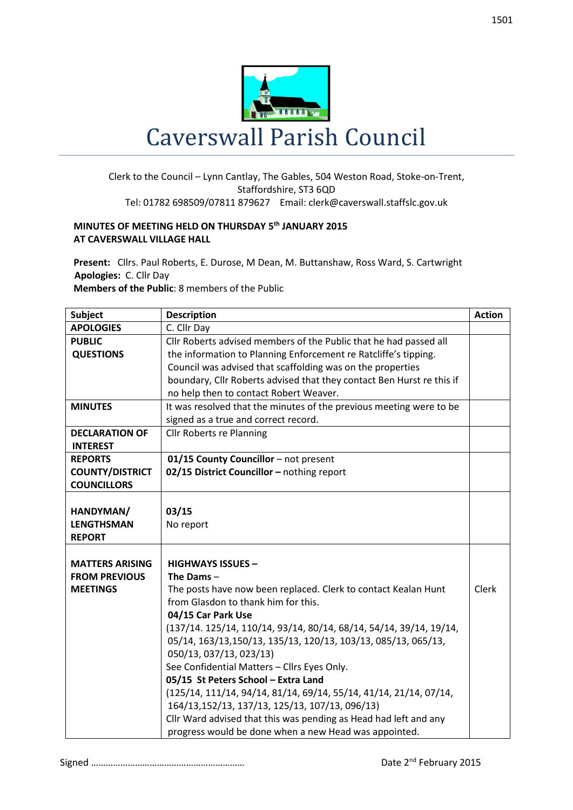

## Clerk to the Council – Lynn Cantlay, The Gables, 504 Weston Road, Stoke-on-Trent, Staffordshire, ST3 6QD Tel: 01782 698509/07811 879627 Email: clerk@caverswall.staffslc.gov.uk

## **MINUTES OF MEETING HELD ON THURSDAY 5 th JANUARY 2015 AT CAVERSWALL VILLAGE HALL**

**Present:** Cllrs. Paul Roberts, E. Durose, M Dean, M. Buttanshaw, Ross Ward, S. Cartwright  **Apologies:** C. Cllr Day

**Members of the Public**: 8 members of the Public

| <b>Subject</b>         | <b>Description</b>                                                    | <b>Action</b> |
|------------------------|-----------------------------------------------------------------------|---------------|
| <b>APOLOGIES</b>       | C. Cllr Day                                                           |               |
| <b>PUBLIC</b>          | Cllr Roberts advised members of the Public that he had passed all     |               |
| <b>QUESTIONS</b>       | the information to Planning Enforcement re Ratcliffe's tipping.       |               |
|                        | Council was advised that scaffolding was on the properties            |               |
|                        | boundary, Cllr Roberts advised that they contact Ben Hurst re this if |               |
|                        | no help then to contact Robert Weaver.                                |               |
| <b>MINUTES</b>         | It was resolved that the minutes of the previous meeting were to be   |               |
|                        | signed as a true and correct record.                                  |               |
| <b>DECLARATION OF</b>  | Cllr Roberts re Planning                                              |               |
| <b>INTEREST</b>        |                                                                       |               |
| <b>REPORTS</b>         | 01/15 County Councillor - not present                                 |               |
| <b>COUNTY/DISTRICT</b> | 02/15 District Councillor - nothing report                            |               |
| <b>COUNCILLORS</b>     |                                                                       |               |
|                        |                                                                       |               |
| HANDYMAN/              | 03/15                                                                 |               |
| <b>LENGTHSMAN</b>      | No report                                                             |               |
| <b>REPORT</b>          |                                                                       |               |
|                        |                                                                       |               |
| <b>MATTERS ARISING</b> | <b>HIGHWAYS ISSUES -</b>                                              |               |
| <b>FROM PREVIOUS</b>   | The Dams-                                                             |               |
| <b>MEETINGS</b>        | The posts have now been replaced. Clerk to contact Kealan Hunt        | <b>Clerk</b>  |
|                        | from Glasdon to thank him for this.                                   |               |
|                        | 04/15 Car Park Use                                                    |               |
|                        | (137/14. 125/14, 110/14, 93/14, 80/14, 68/14, 54/14, 39/14, 19/14,    |               |
|                        | 05/14, 163/13, 150/13, 135/13, 120/13, 103/13, 085/13, 065/13,        |               |
|                        | 050/13, 037/13, 023/13)                                               |               |
|                        | See Confidential Matters - Cllrs Eyes Only.                           |               |
|                        | 05/15 St Peters School - Extra Land                                   |               |
|                        | (125/14, 111/14, 94/14, 81/14, 69/14, 55/14, 41/14, 21/14, 07/14,     |               |
|                        | 164/13,152/13, 137/13, 125/13, 107/13, 096/13)                        |               |
|                        | Cllr Ward advised that this was pending as Head had left and any      |               |
|                        | progress would be done when a new Head was appointed.                 |               |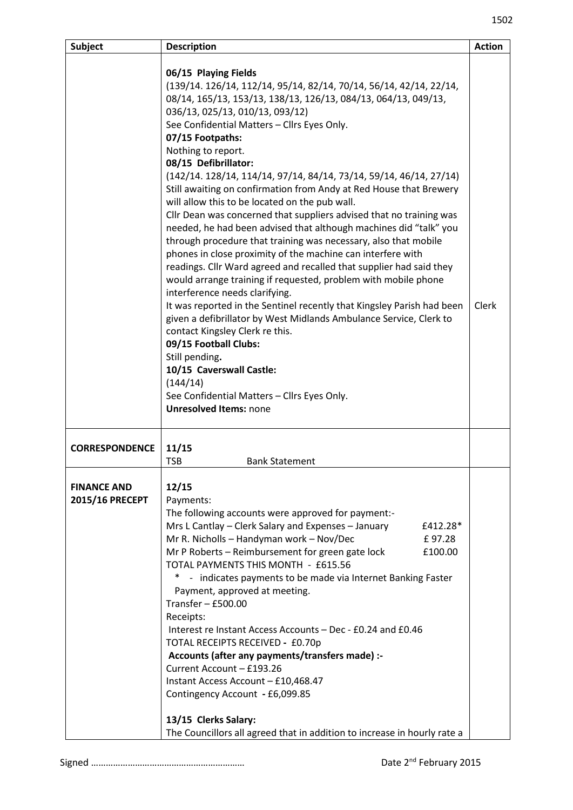| <b>Description</b>                                                                                                                                                                                                                                                                                                                                                                                                                                                                                                                                                                                                                                                                                                                                                                                                                                                                                                                                                                                                                                                                                                                                                                                                                                                                                                            | <b>Action</b>                                                            |
|-------------------------------------------------------------------------------------------------------------------------------------------------------------------------------------------------------------------------------------------------------------------------------------------------------------------------------------------------------------------------------------------------------------------------------------------------------------------------------------------------------------------------------------------------------------------------------------------------------------------------------------------------------------------------------------------------------------------------------------------------------------------------------------------------------------------------------------------------------------------------------------------------------------------------------------------------------------------------------------------------------------------------------------------------------------------------------------------------------------------------------------------------------------------------------------------------------------------------------------------------------------------------------------------------------------------------------|--------------------------------------------------------------------------|
| 06/15 Playing Fields<br>(139/14. 126/14, 112/14, 95/14, 82/14, 70/14, 56/14, 42/14, 22/14,<br>08/14, 165/13, 153/13, 138/13, 126/13, 084/13, 064/13, 049/13,<br>036/13, 025/13, 010/13, 093/12)<br>See Confidential Matters - Cllrs Eyes Only.<br>07/15 Footpaths:<br>Nothing to report.<br>08/15 Defibrillator:<br>(142/14. 128/14, 114/14, 97/14, 84/14, 73/14, 59/14, 46/14, 27/14)<br>Still awaiting on confirmation from Andy at Red House that Brewery<br>will allow this to be located on the pub wall.<br>Cllr Dean was concerned that suppliers advised that no training was<br>needed, he had been advised that although machines did "talk" you<br>through procedure that training was necessary, also that mobile<br>phones in close proximity of the machine can interfere with<br>readings. Cllr Ward agreed and recalled that supplier had said they<br>would arrange training if requested, problem with mobile phone<br>interference needs clarifying.<br>It was reported in the Sentinel recently that Kingsley Parish had been<br>given a defibrillator by West Midlands Ambulance Service, Clerk to<br>contact Kingsley Clerk re this.<br>09/15 Football Clubs:<br>Still pending.<br>10/15 Caverswall Castle:<br>(144/14)<br>See Confidential Matters - Cllrs Eyes Only.<br><b>Unresolved Items: none</b> | Clerk                                                                    |
| 11/15<br><b>TSB</b><br><b>Bank Statement</b>                                                                                                                                                                                                                                                                                                                                                                                                                                                                                                                                                                                                                                                                                                                                                                                                                                                                                                                                                                                                                                                                                                                                                                                                                                                                                  |                                                                          |
| 12/15<br>Payments:<br>The following accounts were approved for payment:-<br>Mrs L Cantlay – Clerk Salary and Expenses – January<br>£412.28*<br>Mr R. Nicholls - Handyman work - Nov/Dec<br>£97.28<br>Mr P Roberts - Reimbursement for green gate lock<br>£100.00<br>TOTAL PAYMENTS THIS MONTH - £615.56<br>- indicates payments to be made via Internet Banking Faster<br>∗<br>Payment, approved at meeting.<br>Transfer $-$ £500.00<br>Receipts:<br>Interest re Instant Access Accounts - Dec - £0.24 and £0.46<br>TOTAL RECEIPTS RECEIVED - £0.70p<br>Accounts (after any payments/transfers made) :-<br>Current Account - £193.26<br>Instant Access Account - £10,468.47<br>Contingency Account - £6,099.85<br>13/15 Clerks Salary:                                                                                                                                                                                                                                                                                                                                                                                                                                                                                                                                                                                        |                                                                          |
|                                                                                                                                                                                                                                                                                                                                                                                                                                                                                                                                                                                                                                                                                                                                                                                                                                                                                                                                                                                                                                                                                                                                                                                                                                                                                                                               | The Councillors all agreed that in addition to increase in hourly rate a |

Signed ……………………………………………………… Date 2